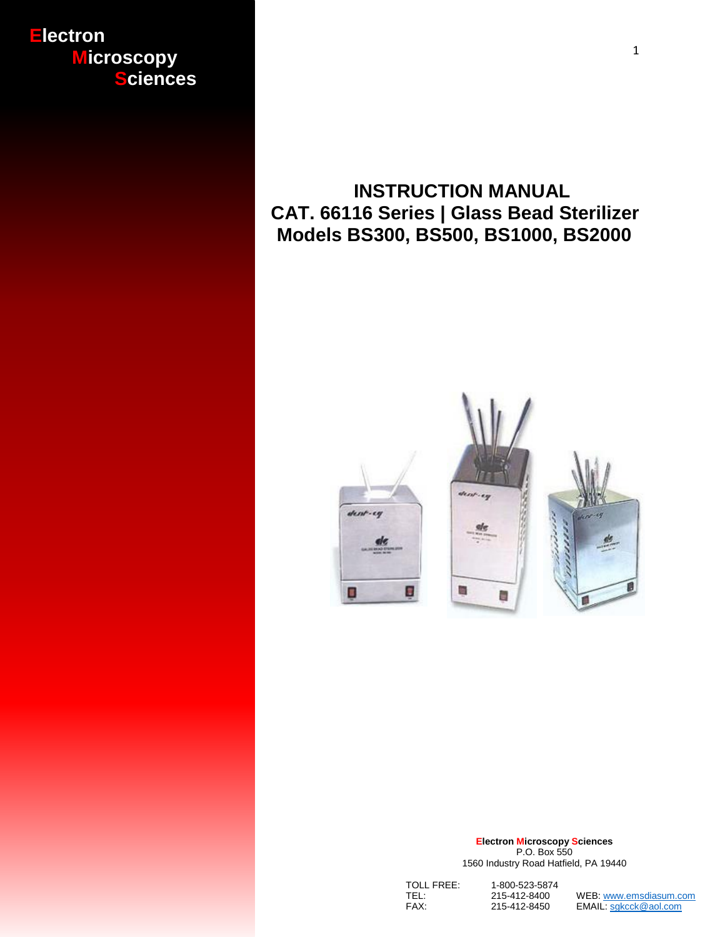## **Electron Microscopy Sciences**

# **INSTRUCTION MANUAL CAT. 66116 Series | Glass Bead Sterilizer Models BS300, BS500, BS1000, BS2000**





 **Electron Microscopy Sciences** P.O. Box 550 1560 Industry Road Hatfield, PA 19440

| TOLL FREE: | 1-800-523-5874 |                        |
|------------|----------------|------------------------|
| TEL:       | 215-412-8400   | WEB: www.emsdiasum.com |
| FAX:       | 215-412-8450   | EMAIL: sgkcck@aol.com  |

1